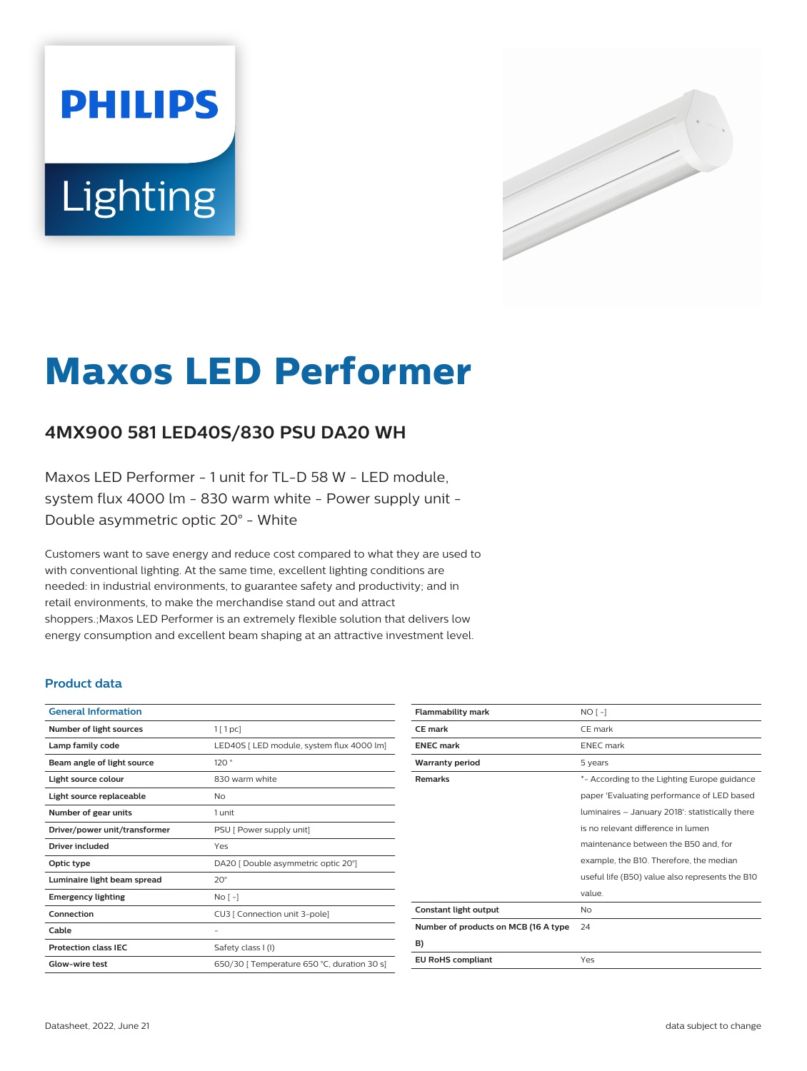# **PHILIPS** Lighting



# **Maxos LED Performer**

## **4MX900 581 LED40S/830 PSU DA20 WH**

Maxos LED Performer - 1 unit for TL-D 58 W - LED module, system flux 4000 lm - 830 warm white - Power supply unit - Double asymmetric optic 20° - White

Customers want to save energy and reduce cost compared to what they are used to with conventional lighting. At the same time, excellent lighting conditions are needed: in industrial environments, to guarantee safety and productivity; and in retail environments, to make the merchandise stand out and attract shoppers.;Maxos LED Performer is an extremely flexible solution that delivers low energy consumption and excellent beam shaping at an attractive investment level.

#### **Product data**

| <b>General Information</b>    |                                             |
|-------------------------------|---------------------------------------------|
| Number of light sources       | $1$ [ 1 pc]                                 |
| Lamp family code              | LED40S [ LED module, system flux 4000 lm]   |
| Beam angle of light source    | 120°                                        |
| Light source colour           | 830 warm white                              |
| Light source replaceable      | No                                          |
| Number of gear units          | 1 unit                                      |
| Driver/power unit/transformer | PSU [ Power supply unit]                    |
| Driver included               | Yes                                         |
| Optic type                    | DA20 [ Double asymmetric optic 20°]         |
| Luminaire light beam spread   | $20^{\circ}$                                |
| <b>Emergency lighting</b>     | $No[-]$                                     |
| Connection                    | CU3   Connection unit 3-pole]               |
| Cable                         | -                                           |
| <b>Protection class IEC</b>   | Safety class I (I)                          |
| Glow-wire test                | 650/30   Temperature 650 °C, duration 30 s] |
|                               |                                             |

| $NO[-]$                                         |
|-------------------------------------------------|
| CE mark                                         |
| <b>ENEC</b> mark                                |
| 5 years                                         |
| *- According to the Lighting Europe guidance    |
| paper 'Evaluating performance of LED based      |
| luminaires - January 2018': statistically there |
| is no relevant difference in lumen              |
| maintenance between the B50 and, for            |
| example, the B10. Therefore, the median         |
| useful life (B50) value also represents the B10 |
| value.                                          |
| No                                              |
| 24                                              |
|                                                 |
| Yes                                             |
|                                                 |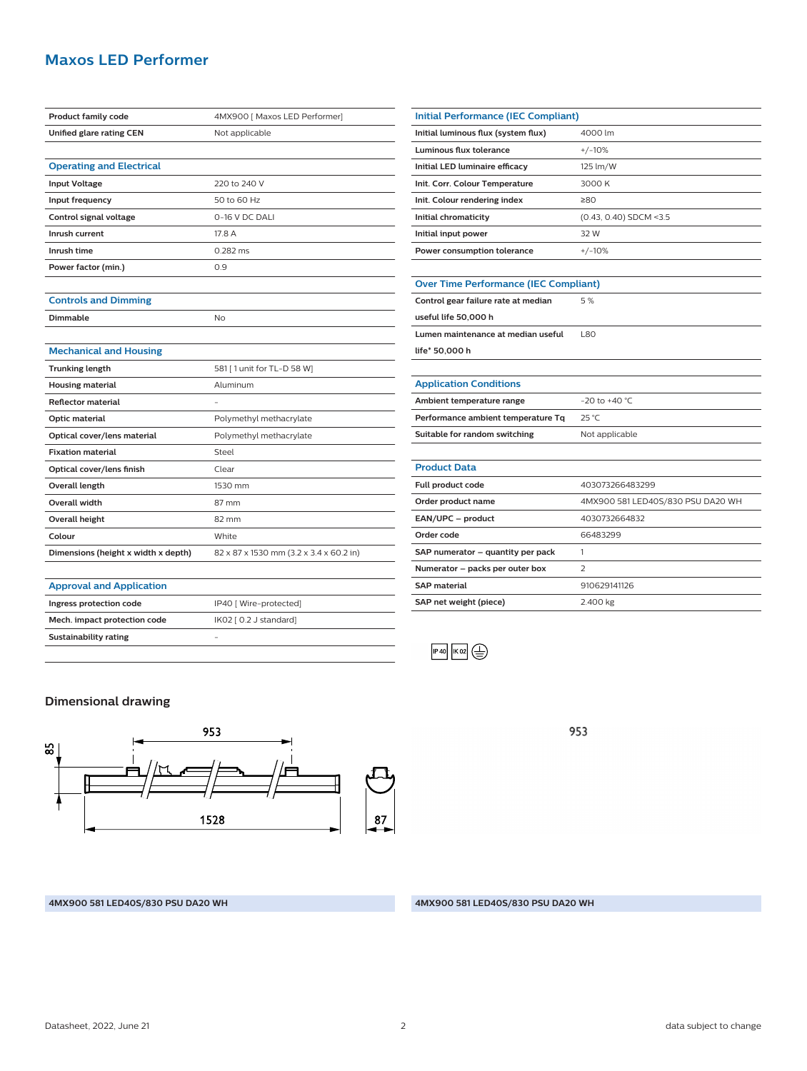#### **Maxos LED Performer**

| <b>Product family code</b>          | 4MX900 [ Maxos LED Performer]           |
|-------------------------------------|-----------------------------------------|
| Unified glare rating CEN            | Not applicable                          |
|                                     |                                         |
| <b>Operating and Electrical</b>     |                                         |
| <b>Input Voltage</b>                | 220 to 240 V                            |
| Input frequency                     | 50 to 60 Hz                             |
| Control signal voltage              | 0-16 V DC DALI                          |
| Inrush current                      | 17.8 A                                  |
| Inrush time                         | $0.282$ ms                              |
| Power factor (min.)                 | 0.9                                     |
|                                     |                                         |
| <b>Controls and Dimming</b>         |                                         |
| <b>Dimmable</b>                     | No                                      |
|                                     |                                         |
| <b>Mechanical and Housing</b>       |                                         |
| <b>Trunking length</b>              | 581 [ 1 unit for TL-D 58 W]             |
| <b>Housing material</b>             | Aluminum                                |
| <b>Reflector material</b>           |                                         |
| Optic material                      | Polymethyl methacrylate                 |
| Optical cover/lens material         | Polymethyl methacrylate                 |
| <b>Fixation material</b>            | Steel                                   |
| Optical cover/lens finish           | Clear                                   |
| <b>Overall length</b>               | 1530 mm                                 |
| <b>Overall width</b>                | 87 mm                                   |
| <b>Overall height</b>               | 82 mm                                   |
| Colour                              | White                                   |
| Dimensions (height x width x depth) | 82 x 87 x 1530 mm (3.2 x 3.4 x 60.2 in) |
|                                     |                                         |
| <b>Approval and Application</b>     |                                         |
| Ingress protection code             | IP40 [ Wire-protected]                  |
| Mech. impact protection code        | IK02 [ 0.2 J standard]                  |

| <b>Initial Performance (IEC Compliant)</b>   |                                   |  |
|----------------------------------------------|-----------------------------------|--|
| Initial luminous flux (system flux)          | 4000 lm                           |  |
| Luminous flux tolerance                      | $+/-10%$                          |  |
| Initial LED luminaire efficacy               | 125 lm/W                          |  |
| Init. Corr. Colour Temperature               | 3000 K                            |  |
| Init. Colour rendering index                 | 280                               |  |
| Initial chromaticity                         | $(0.43, 0.40)$ SDCM <3.5          |  |
| Initial input power                          | 32 W                              |  |
| Power consumption tolerance                  | $+/-10%$                          |  |
|                                              |                                   |  |
| <b>Over Time Performance (IEC Compliant)</b> |                                   |  |
| Control gear failure rate at median          | 5%                                |  |
| useful life 50,000 h                         |                                   |  |
| Lumen maintenance at median useful           | 1.80                              |  |
| life* 50,000 h                               |                                   |  |
|                                              |                                   |  |
| <b>Application Conditions</b>                |                                   |  |
| Ambient temperature range                    | $-20$ to $+40$ °C                 |  |
| Performance ambient temperature Tq           | 25 °C                             |  |
| Suitable for random switching                | Not applicable                    |  |
|                                              |                                   |  |
| <b>Product Data</b>                          |                                   |  |
| Full product code                            | 403073266483299                   |  |
| Order product name                           | 4MX900 581 LED40S/830 PSU DA20 WH |  |
| EAN/UPC - product                            | 4030732664832                     |  |
| Order code                                   | 66483299                          |  |
| SAP numerator - quantity per pack            | 1                                 |  |
| Numerator - packs per outer box              | $\overline{\mathbf{z}}$           |  |
| <b>SAP material</b>                          | 910629141126                      |  |
| SAP net weight (piece)                       | 2.400 kg                          |  |
|                                              |                                   |  |

 $F = 40$   $K = 22$ 

953

### **Dimensional drawing**

**Sustainability rating** -



**4MX900 581 LED40S/830 PSU DA20 WH 4MX900 581 LED40S/830 PSU DA20 WH**